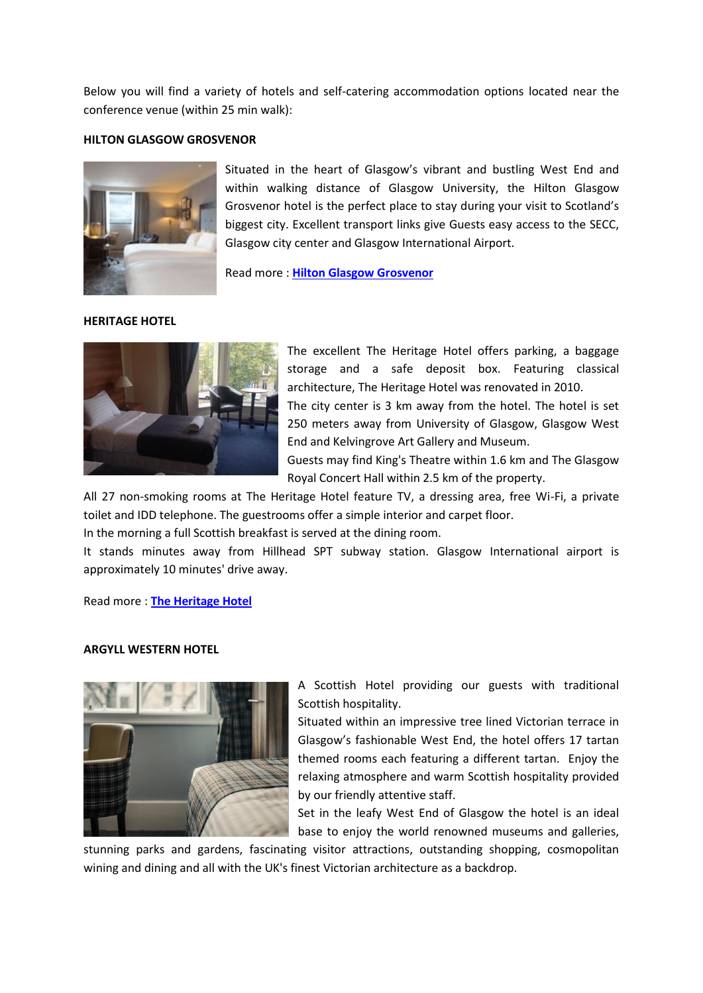Below you will find a variety of hotels and self-catering accommodation options located near the conference venue (within 25 min walk):

# **HILTON GLASGOW GROSVENOR**



Situated in the heart of Glasgow's vibrant and bustling West End and within walking distance of Glasgow University, the Hilton Glasgow Grosvenor hotel is the perfect place to stay during your visit to Scotland's biggest city. Excellent transport links give Guests easy access to the SECC, Glasgow city center and Glasgow International Airport.

Read more : **[Hilton Glasgow Grosvenor](http://www3.hilton.com/en/hotels/united-kingdom/hilton-glasgow-grosvenor-GLAGRHN/index.html)**

## **HERITAGE HOTEL**



The excellent The Heritage Hotel offers parking, a baggage storage and a safe deposit box. Featuring classical architecture, The Heritage Hotel was renovated in 2010.

The city center is 3 km away from the hotel. The hotel is set 250 meters away from University of Glasgow, Glasgow West End and Kelvingrove Art Gallery and Museum.

Guests may find King's Theatre within 1.6 km and The Glasgow Royal Concert Hall within 2.5 km of the property.

All 27 non-smoking rooms at The Heritage Hotel feature TV, a dressing area, free Wi-Fi, a private toilet and IDD telephone. The guestrooms offer a simple interior and carpet floor.

In the morning a full Scottish breakfast is served at the dining room.

It stands minutes away from Hillhead SPT subway station. Glasgow International airport is approximately 10 minutes' drive away.

Read more : **[The Heritage Hotel](http://the-heritage-hotel-glasgow.hotel-ds.com/en/#main)**

#### **ARGYLL WESTERN HOTEL**



A Scottish Hotel providing our guests with traditional Scottish hospitality.

Situated within an impressive tree lined Victorian terrace in Glasgow's fashionable West End, the hotel offers 17 tartan themed rooms each featuring a different tartan. Enjoy the relaxing atmosphere and warm Scottish hospitality provided by our friendly attentive staff.

Set in the leafy West End of Glasgow the hotel is an ideal base to enjoy the world renowned museums and galleries,

stunning parks and gardens, fascinating visitor attractions, outstanding shopping, cosmopolitan wining and dining and all with the UK's finest Victorian architecture as a backdrop.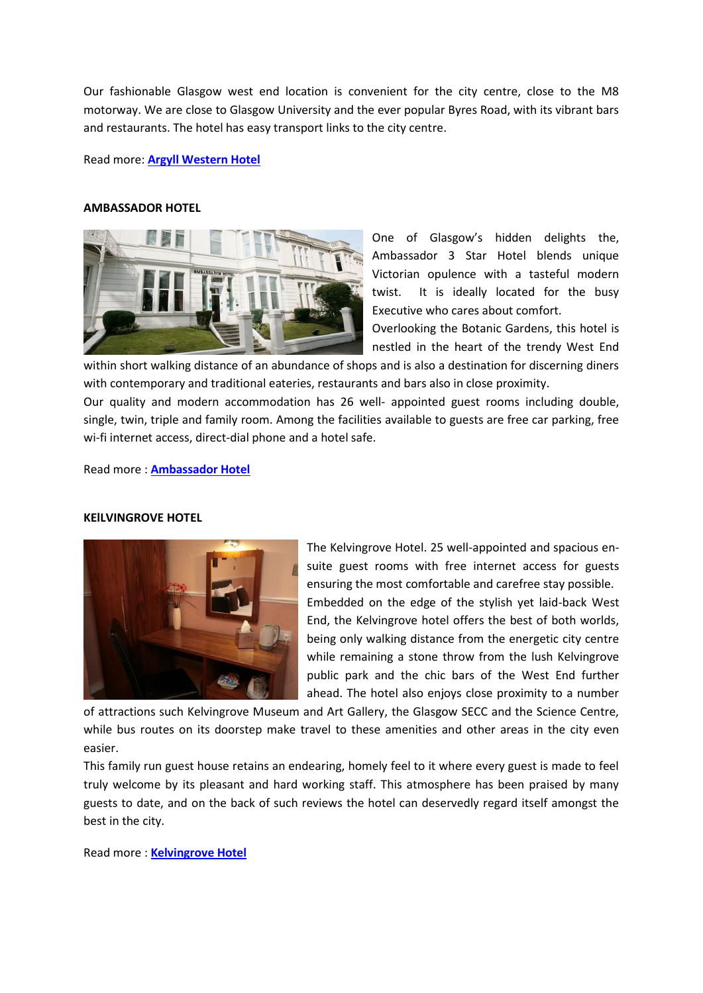Our fashionable Glasgow west end location is convenient for the city centre, close to the M8 motorway. We are close to Glasgow University and the ever popular Byres Road, with its vibrant bars and restaurants. The hotel has easy transport links to the city centre.

Read more: **[Argyll Western Hotel](http://www.argyllwestern.co.uk/)**

# **AMBASSADOR HOTEL**



One of Glasgow's hidden delights the, Ambassador 3 Star Hotel blends unique Victorian opulence with a tasteful modern twist. It is ideally located for the busy Executive who cares about comfort.

Overlooking the Botanic Gardens, this hotel is nestled in the heart of the trendy West End

within short walking distance of an abundance of shops and is also a destination for discerning diners with contemporary and traditional eateries, restaurants and bars also in close proximity.

Our quality and modern accommodation has 26 well- appointed guest rooms including double, single, twin, triple and family room. Among the facilities available to guests are free car parking, free wi-fi internet access, direct-dial phone and a hotel safe.

Read more : **[Ambassador Hotel](http://www.ambassador-hotel.net/index.htm)**

## **KElLVINGROVE HOTEL**



The Kelvingrove Hotel. 25 well-appointed and spacious ensuite guest rooms with free internet access for guests ensuring the most comfortable and carefree stay possible. Embedded on the edge of the stylish yet laid-back West End, the Kelvingrove hotel offers the best of both worlds, being only walking distance from the energetic city centre while remaining a stone throw from the lush Kelvingrove public park and the chic bars of the West End further ahead. The hotel also enjoys close proximity to a number

of attractions such Kelvingrove Museum and Art Gallery, the Glasgow SECC and the Science Centre, while bus routes on its doorstep make travel to these amenities and other areas in the city even easier.

This family run guest house retains an endearing, homely feel to it where every guest is made to feel truly welcome by its pleasant and hard working staff. This atmosphere has been praised by many guests to date, and on the back of such reviews the hotel can deservedly regard itself amongst the best in the city.

Read more : **[Kelvingrove Hotel](http://www.kelvingrove-hotel.co.uk/)**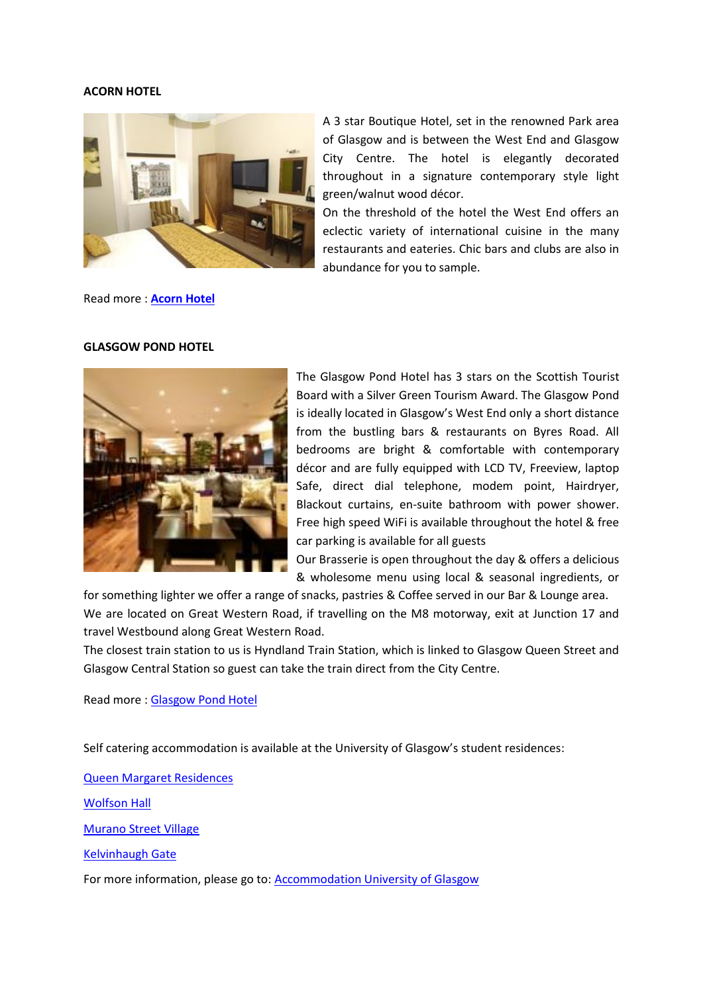## **ACORN HOTEL**



Read more : **[Acorn Hotel](http://www.acorn-hotel.com/index.htm)**

A 3 star Boutique Hotel, set in the renowned Park area of Glasgow and is between the West End and Glasgow City Centre. The hotel is elegantly decorated throughout in a signature contemporary style light green/walnut wood décor.

On the threshold of the hotel the West End offers an eclectic variety of international cuisine in the many restaurants and eateries. Chic bars and clubs are also in abundance for you to sample.

#### **GLASGOW POND HOTEL**



The Glasgow Pond Hotel has 3 stars on the Scottish Tourist Board with a Silver Green Tourism Award. The Glasgow Pond is ideally located in Glasgow's West End only a short distance from the bustling bars & restaurants on Byres Road. All bedrooms are bright & comfortable with contemporary décor and are fully equipped with LCD TV, Freeview, laptop Safe, direct dial telephone, modem point, Hairdryer, Blackout curtains, en-suite bathroom with power shower. Free high speed WiFi is available throughout the hotel & free car parking is available for all guests

Our Brasserie is open throughout the day & offers a delicious & wholesome menu using local & seasonal ingredients, or

for something lighter we offer a range of snacks, pastries & Coffee served in our Bar & Lounge area. We are located on Great Western Road, if travelling on the M8 motorway, exit at Junction 17 and travel Westbound along Great Western Road.

The closest train station to us is Hyndland Train Station, which is linked to Glasgow Queen Street and Glasgow Central Station so guest can take the train direct from the City Centre.

Read more [: Glasgow Pond Hotel](http://www.glasgowpondhotel.com/)

Self catering accommodation is available at the University of Glasgow's student residences:

[Queen Margaret Residences](http://www.gla.ac.uk/services/conferencesandevents/accommodation/universityofglasgowresidences/queenmargaretresidences/)

[Wolfson Hall](http://www.gla.ac.uk/services/conferencesandevents/accommodation/universityofglasgowresidences/wolfsonhall/)

[Murano Street Village](http://www.gla.ac.uk/services/conferencesandevents/accommodation/universityofglasgowresidences/muranostreetvillage/)

[Kelvinhaugh Gate](http://www.gla.ac.uk/services/conferencesandevents/accommodation/universityofglasgowresidences/kelvinhaughgate/)

For more information, please go to: [Accommodation University of Glasgow](http://www.gla.ac.uk/services/conferencesandevents/accommodation/universityofglasgowresidences/)